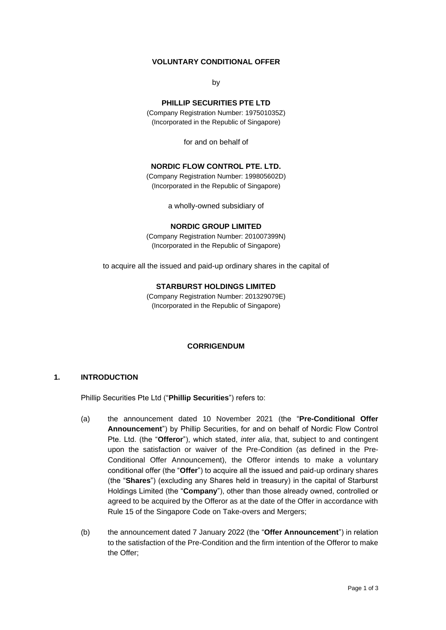# **VOLUNTARY CONDITIONAL OFFER**

by

### **PHILLIP SECURITIES PTE LTD**

(Company Registration Number: 197501035Z) (Incorporated in the Republic of Singapore)

for and on behalf of

## **NORDIC FLOW CONTROL PTE. LTD.**

(Company Registration Number: 199805602D) (Incorporated in the Republic of Singapore)

a wholly-owned subsidiary of

#### **NORDIC GROUP LIMITED**

(Company Registration Number: 201007399N) (Incorporated in the Republic of Singapore)

to acquire all the issued and paid-up ordinary shares in the capital of

#### **STARBURST HOLDINGS LIMITED**

(Company Registration Number: 201329079E) (Incorporated in the Republic of Singapore)

#### **CORRIGENDUM**

#### **1. INTRODUCTION**

Phillip Securities Pte Ltd ("**Phillip Securities**") refers to:

- (a) the announcement dated 10 November 2021 (the "**Pre-Conditional Offer Announcement**") by Phillip Securities, for and on behalf of Nordic Flow Control Pte. Ltd. (the "**Offeror**"), which stated, *inter alia*, that, subject to and contingent upon the satisfaction or waiver of the Pre-Condition (as defined in the Pre-Conditional Offer Announcement), the Offeror intends to make a voluntary conditional offer (the "**Offer**") to acquire all the issued and paid-up ordinary shares (the "**Shares**") (excluding any Shares held in treasury) in the capital of Starburst Holdings Limited (the "**Company**"), other than those already owned, controlled or agreed to be acquired by the Offeror as at the date of the Offer in accordance with Rule 15 of the Singapore Code on Take-overs and Mergers;
- (b) the announcement dated 7 January 2022 (the "**Offer Announcement**") in relation to the satisfaction of the Pre-Condition and the firm intention of the Offeror to make the Offer;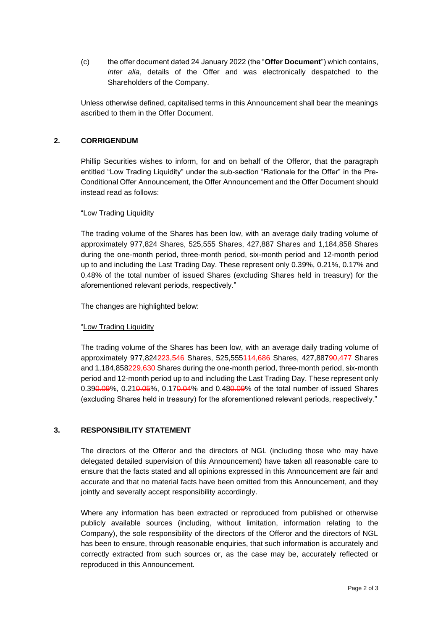(c) the offer document dated 24 January 2022 (the "**Offer Document**") which contains, *inter alia*, details of the Offer and was electronically despatched to the Shareholders of the Company.

Unless otherwise defined, capitalised terms in this Announcement shall bear the meanings ascribed to them in the Offer Document.

## **2. CORRIGENDUM**

Phillip Securities wishes to inform, for and on behalf of the Offeror, that the paragraph entitled "Low Trading Liquidity" under the sub-section "Rationale for the Offer" in the Pre-Conditional Offer Announcement, the Offer Announcement and the Offer Document should instead read as follows:

### "Low Trading Liquidity

The trading volume of the Shares has been low, with an average daily trading volume of approximately 977,824 Shares, 525,555 Shares, 427,887 Shares and 1,184,858 Shares during the one-month period, three-month period, six-month period and 12-month period up to and including the Last Trading Day. These represent only 0.39%, 0.21%, 0.17% and 0.48% of the total number of issued Shares (excluding Shares held in treasury) for the aforementioned relevant periods, respectively."

The changes are highlighted below:

# "Low Trading Liquidity

The trading volume of the Shares has been low, with an average daily trading volume of approximately 977,824223,546 Shares, 525,555114,686 Shares, 427,88790,477 Shares and 1,184,858229,630 Shares during the one-month period, three-month period, six-month period and 12-month period up to and including the Last Trading Day. These represent only 0.390.09%, 0.210.05%, 0.170.04% and 0.480.09% of the total number of issued Shares (excluding Shares held in treasury) for the aforementioned relevant periods, respectively."

# **3. RESPONSIBILITY STATEMENT**

The directors of the Offeror and the directors of NGL (including those who may have delegated detailed supervision of this Announcement) have taken all reasonable care to ensure that the facts stated and all opinions expressed in this Announcement are fair and accurate and that no material facts have been omitted from this Announcement, and they jointly and severally accept responsibility accordingly.

Where any information has been extracted or reproduced from published or otherwise publicly available sources (including, without limitation, information relating to the Company), the sole responsibility of the directors of the Offeror and the directors of NGL has been to ensure, through reasonable enquiries, that such information is accurately and correctly extracted from such sources or, as the case may be, accurately reflected or reproduced in this Announcement.